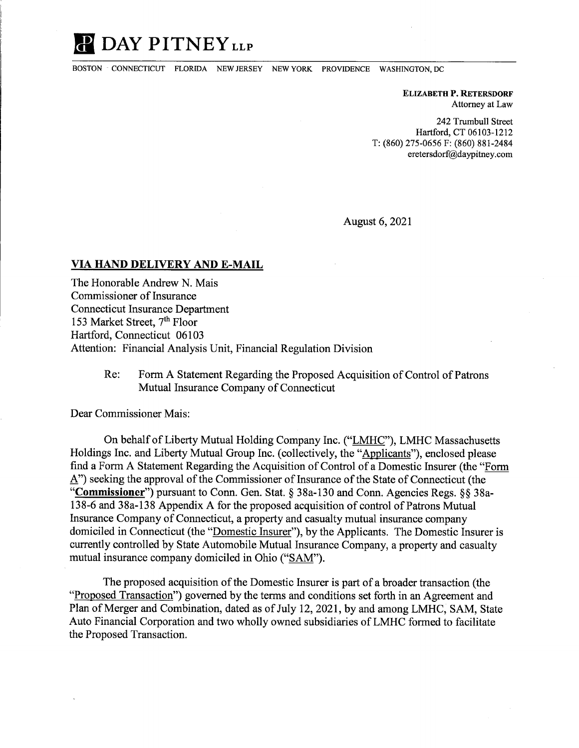## **II DAY PITNEYLLP**

BOSTON · CONNECTICUT FLORIDA NEW JERSEY NEW YORK PROVIDENCE WASHINGTON, DC

**ELIZABETH P. RETERSDORF**  Attorney at Law

242 Trumbull Street Hartford, CT 06103-1212 T: (860) 275-0656 F: (860) 881-2484 eretersdorf@daypitney.com

August 6, 2021

## **VIA HAND DELIVERY AND E-MAIL**

The Honorable Andrew N. Mais Commissioner of Insurance Connecticut Insurance Department 153 Market Street, 7<sup>th</sup> Floor Hartford, Connecticut 06103 Attention: Financial Analysis Unit, Financial Regulation Division

> Re: Form A Statement Regarding the Proposed Acquisition of Control of Patrons Mutual Insurance Company of Connecticut

Dear Commissioner Mais:

On behalf of Liberty Mutual Holding Company Inc. ("LMHC"), LMHC Massachusetts Holdings Inc. and Liberty Mutual Group Inc. ( collectively, the "Applicants"), enclosed please find a Form A Statement Regarding the Acquisition of Control of a Domestic Insurer (the "Form A") seeking the approval of the Commissioner of Insurance of the State of Connecticut (the **"Commissioner")** pursuant to Conn. Gen. Stat.§ 38a-130 and Conn. Agencies Regs. §§ 38a-138-6 and 38a-138 Appendix A for the proposed acquisition of control of Patrons Mutual Insurance Company of Connecticut, a property and casualty mutual insurance company domiciled in Connecticut (the "Domestic Insurer"), by the Applicants. The Domestic Insurer is currently controlled by State Automobile Mutual Insurance Company, a property and casualty mutual insurance company domiciled in Ohio ("SAM").

The proposed acquisition of the Domestic Insurer is part of a broader transaction (the "Proposed Transaction") governed by the terms and conditions set forth in an Agreement and Plan of Merger and Combination, dated as of July 12, 2021, by and among LMHC, SAM, State Auto Financial Corporation and two wholly owned subsidiaries of LMHC formed to facilitate the Proposed Transaction.